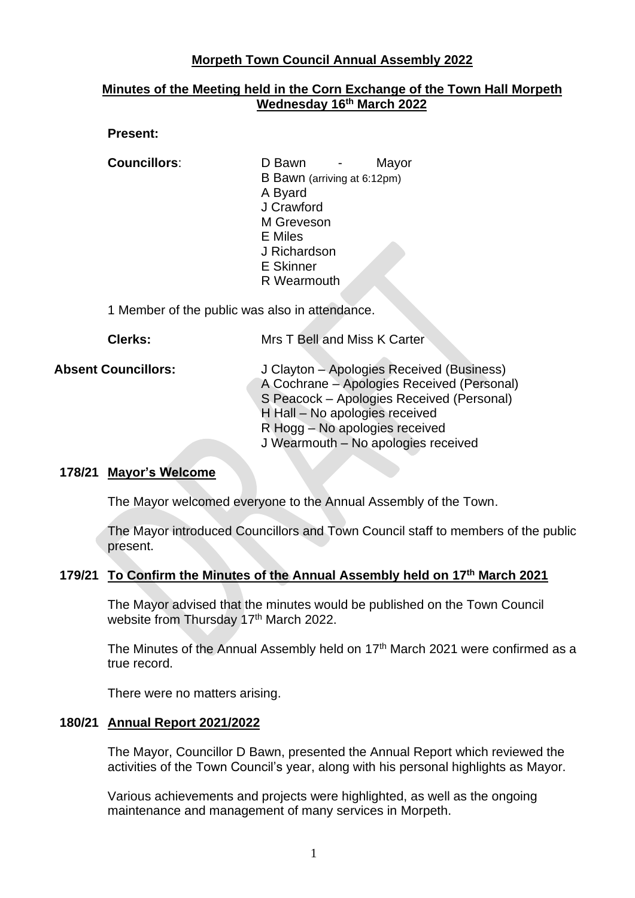# **Morpeth Town Council Annual Assembly 2022**

# **Minutes of the Meeting held in the Corn Exchange of the Town Hall Morpeth Wednesday 16 th March 2022**

## **Present:**

**Councillors**: D Bawn - Mayor B Bawn (arriving at 6:12pm) A Byard J Crawford M Greveson E Miles J Richardson E Skinner R Wearmouth

1 Member of the public was also in attendance.

**Clerks:** Mrs T Bell and Miss K Carter

| <b>Absent Councillors:</b> | J Clayton – Apologies Received (Business)  |
|----------------------------|--------------------------------------------|
|                            | A Cochrane - Apologies Received (Personal) |
|                            | S Peacock – Apologies Received (Personal)  |
|                            | H Hall - No apologies received             |
|                            | R Hogg – No apologies received             |
|                            | J Wearmouth – No apologies received        |

## **178/21 Mayor's Welcome**

The Mayor welcomed everyone to the Annual Assembly of the Town.

The Mayor introduced Councillors and Town Council staff to members of the public present.

#### **179/21 To Confirm the Minutes of the Annual Assembly held on 17th March 2021**

The Mayor advised that the minutes would be published on the Town Council website from Thursday 17<sup>th</sup> March 2022.

The Minutes of the Annual Assembly held on 17<sup>th</sup> March 2021 were confirmed as a true record.

There were no matters arising.

#### **180/21 Annual Report 2021/2022**

The Mayor, Councillor D Bawn, presented the Annual Report which reviewed the activities of the Town Council's year, along with his personal highlights as Mayor.

Various achievements and projects were highlighted, as well as the ongoing maintenance and management of many services in Morpeth.